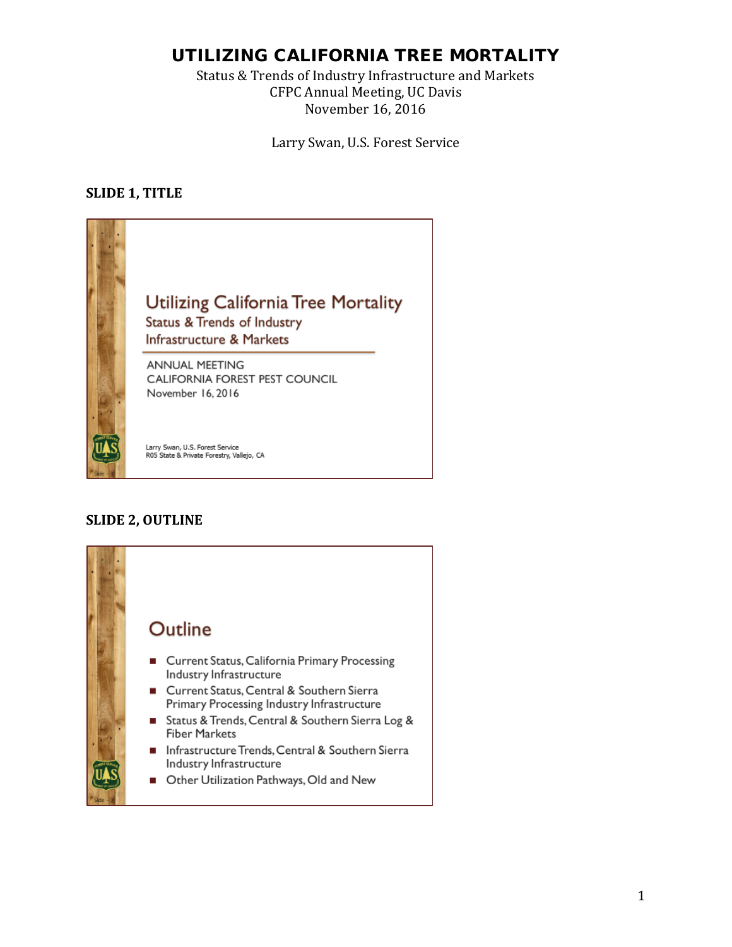## UTILIZING CALIFORNIA TREE MORTALITY

Status & Trends of Industry Infrastructure and Markets CFPC Annual Meeting, UC Davis November 16, 2016

Larry Swan, U.S. Forest Service

### **SLIDE 1, TITLE**



## **SLIDE 2, OUTLINE**

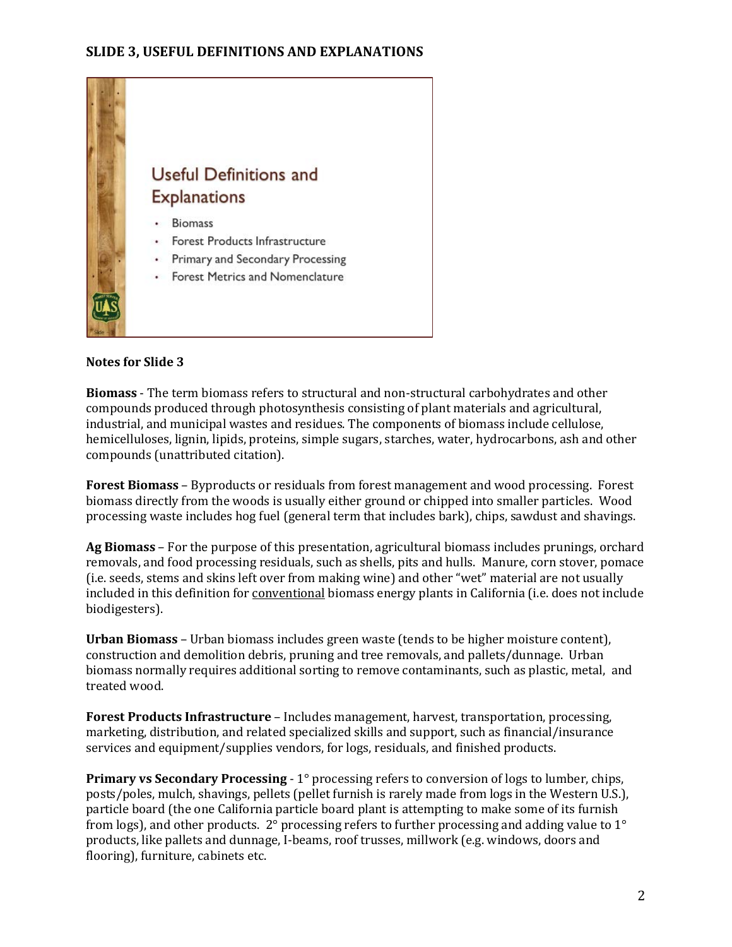

**Biomass** - The term biomass refers to structural and non-structural carbohydrates and other compounds produced through photosynthesis consisting of plant materials and agricultural, industrial, and municipal wastes and residues. The components of biomass include cellulose, hemicelluloses, lignin, lipids, proteins, simple sugars, starches, water, hydrocarbons, ash and other compounds (unattributed citation).

**Forest Biomass** – Byproducts or residuals from forest management and wood processing. Forest biomass directly from the woods is usually either ground or chipped into smaller particles. Wood processing waste includes hog fuel (general term that includes bark), chips, sawdust and shavings.

**Ag Biomass** – For the purpose of this presentation, agricultural biomass includes prunings, orchard removals, and food processing residuals, such as shells, pits and hulls. Manure, corn stover, pomace (i.e. seeds, stems and skins left over from making wine) and other "wet" material are not usually included in this definition for conventional biomass energy plants in California (i.e. does not include biodigesters).

**Urban Biomass** – Urban biomass includes green waste (tends to be higher moisture content), construction and demolition debris, pruning and tree removals, and pallets/dunnage. Urban biomass normally requires additional sorting to remove contaminants, such as plastic, metal, and treated wood.

**Forest Products Infrastructure** – Includes management, harvest, transportation, processing, marketing, distribution, and related specialized skills and support, such as financial/insurance services and equipment/supplies vendors, for logs, residuals, and finished products.

**Primary vs Secondary Processing** - 1° processing refers to conversion of logs to lumber, chips, posts/poles, mulch, shavings, pellets (pellet furnish is rarely made from logs in the Western U.S.), particle board (the one California particle board plant is attempting to make some of its furnish from logs), and other products. 2° processing refers to further processing and adding value to 1° products, like pallets and dunnage, I-beams, roof trusses, millwork (e.g. windows, doors and flooring), furniture, cabinets etc.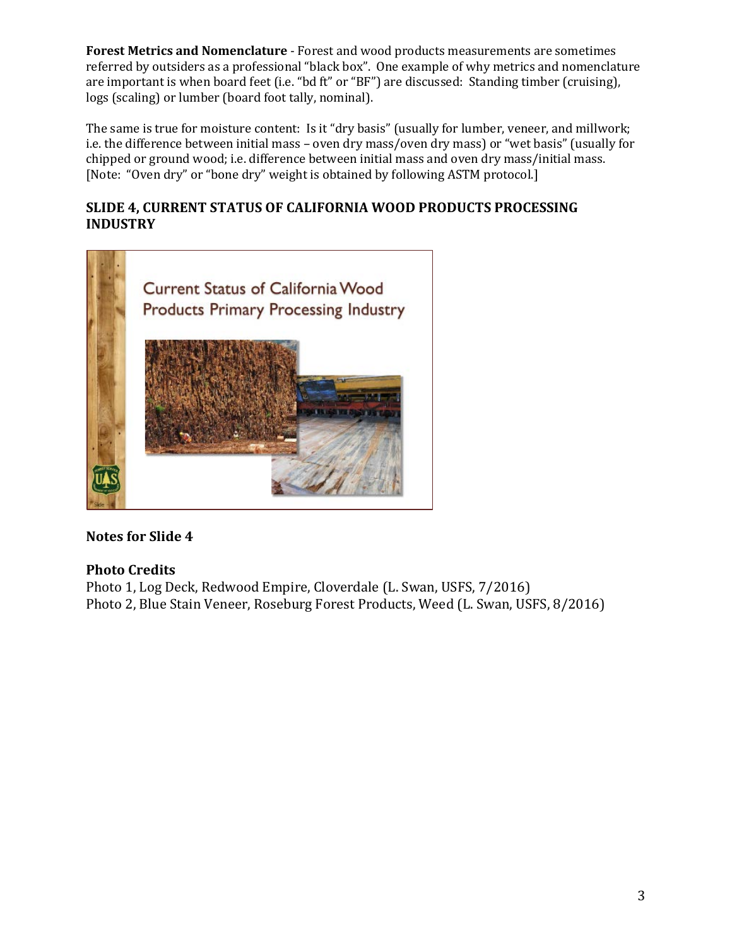**Forest Metrics and Nomenclature** - Forest and wood products measurements are sometimes referred by outsiders as a professional "black box". One example of why metrics and nomenclature are important is when board feet (i.e. "bd ft" or "BF") are discussed: Standing timber (cruising), logs (scaling) or lumber (board foot tally, nominal).

The same is true for moisture content: Is it "dry basis" (usually for lumber, veneer, and millwork; i.e. the difference between initial mass – oven dry mass/oven dry mass) or "wet basis" (usually for chipped or ground wood; i.e. difference between initial mass and oven dry mass/initial mass. [Note: "Oven dry" or "bone dry" weight is obtained by following ASTM protocol.]

## **SLIDE 4, CURRENT STATUS OF CALIFORNIA WOOD PRODUCTS PROCESSING INDUSTRY**



## **Notes for Slide 4**

## **Photo Credits**

Photo 1, Log Deck, Redwood Empire, Cloverdale (L. Swan, USFS, 7/2016) Photo 2, Blue Stain Veneer, Roseburg Forest Products, Weed (L. Swan, USFS, 8/2016)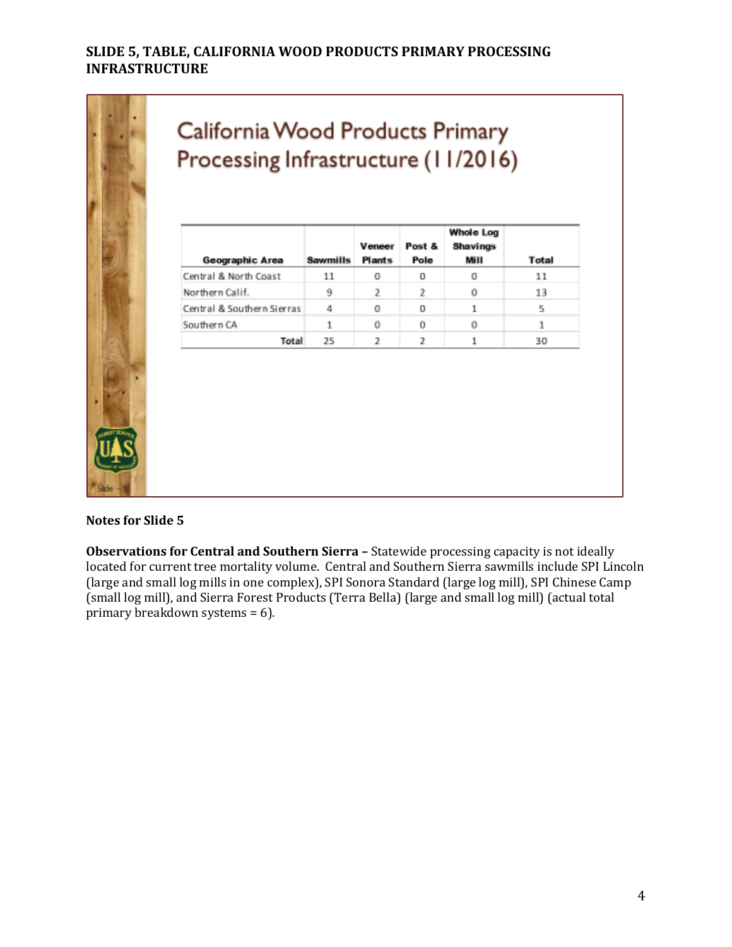## **SLIDE 5, TABLE, CALIFORNIA WOOD PRODUCTS PRIMARY PROCESSING INFRASTRUCTURE**



# California Wood Products Primary Processing Infrastructure (11/2016)

| Geographic Area            | <b>Sawmills</b> | Veneer<br><b>Plants</b> | Post &<br>Pole | Whole Log<br>Shavings<br>Mill | Total |
|----------------------------|-----------------|-------------------------|----------------|-------------------------------|-------|
| Central & North Coast      | 11              | 0                       | 0              | 0                             | 11    |
| Northern Calif.            | 9               | 2                       | 2              | 0                             | 13    |
| Central & Southern Sierras | 4               | 0                       | 0              | 1                             | 5     |
| Southern CA                | 1               | 0                       | 0              | 0                             | 1     |
| Total                      | 25              | 2                       | 2              | 1                             | 30    |

**Notes for Slide 5**

**Observations for Central and Southern Sierra –** Statewide processing capacity is not ideally located for current tree mortality volume. Central and Southern Sierra sawmills include SPI Lincoln (large and small log mills in one complex), SPI Sonora Standard (large log mill), SPI Chinese Camp (small log mill), and Sierra Forest Products (Terra Bella) (large and small log mill) (actual total primary breakdown systems = 6).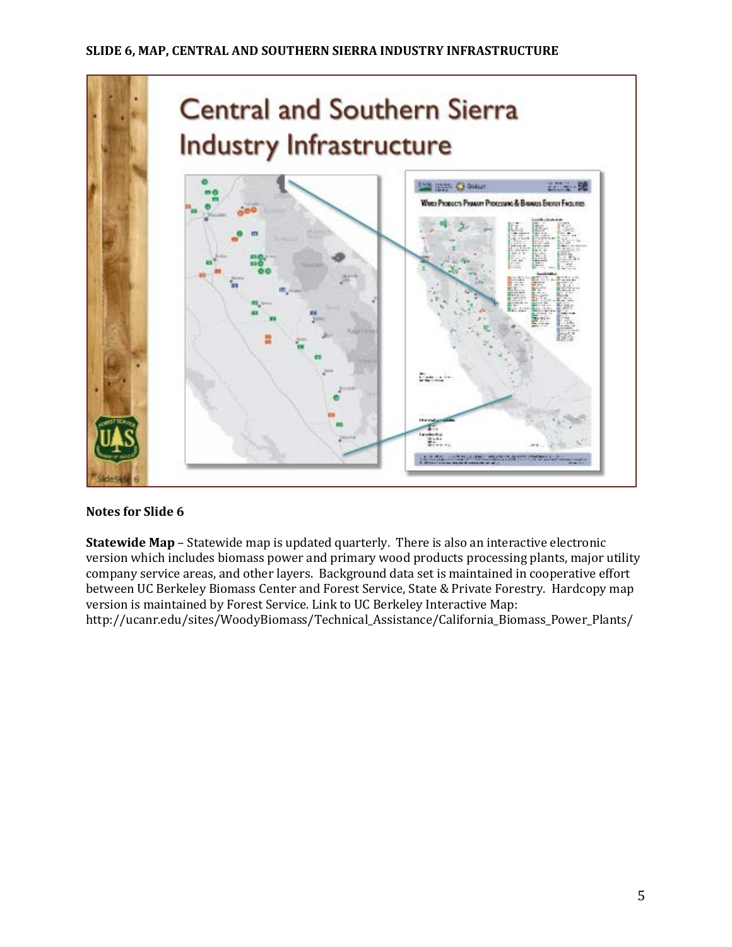

**Statewide Map** – Statewide map is updated quarterly. There is also an interactive electronic version which includes biomass power and primary wood products processing plants, major utility company service areas, and other layers. Background data set is maintained in cooperative effort between UC Berkeley Biomass Center and Forest Service, State & Private Forestry. Hardcopy map version is maintained by Forest Service. Link to UC Berkeley Interactive Map: http://ucanr.edu/sites/WoodyBiomass/Technical\_Assistance/California\_Biomass\_Power\_Plants/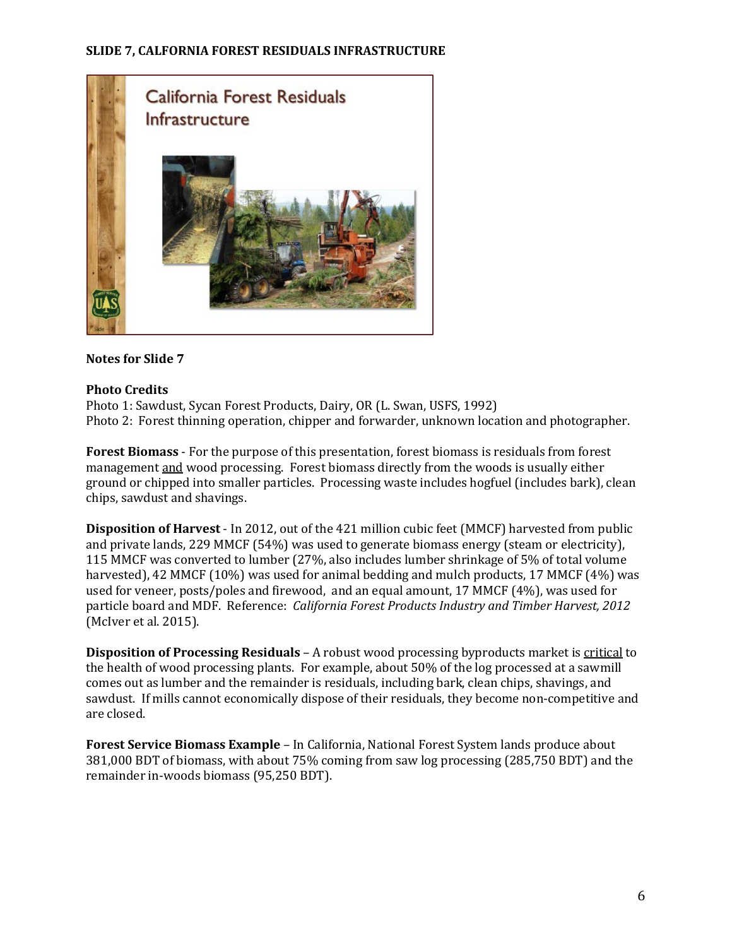

#### **Photo Credits**

Photo 1: Sawdust, Sycan Forest Products, Dairy, OR (L. Swan, USFS, 1992) Photo 2: Forest thinning operation, chipper and forwarder, unknown location and photographer.

**Forest Biomass** - For the purpose of this presentation, forest biomass is residuals from forest management and wood processing. Forest biomass directly from the woods is usually either ground or chipped into smaller particles. Processing waste includes hogfuel (includes bark), clean chips, sawdust and shavings.

**Disposition of Harvest** - In 2012, out of the 421 million cubic feet (MMCF) harvested from public and private lands, 229 MMCF (54%) was used to generate biomass energy (steam or electricity), 115 MMCF was converted to lumber (27%, also includes lumber shrinkage of 5% of total volume harvested), 42 MMCF (10%) was used for animal bedding and mulch products, 17 MMCF (4%) was used for veneer, posts/poles and firewood, and an equal amount, 17 MMCF (4%), was used for particle board and MDF. Reference: *California Forest Products Industry and Timber Harvest, 2012*  (McIver et al. 2015).

**Disposition of Processing Residuals** – A robust wood processing byproducts market is critical to the health of wood processing plants. For example, about 50% of the log processed at a sawmill comes out as lumber and the remainder is residuals, including bark, clean chips, shavings, and sawdust. If mills cannot economically dispose of their residuals, they become non-competitive and are closed.

**Forest Service Biomass Example** – In California, National Forest System lands produce about 381,000 BDT of biomass, with about 75% coming from saw log processing (285,750 BDT) and the remainder in-woods biomass (95,250 BDT).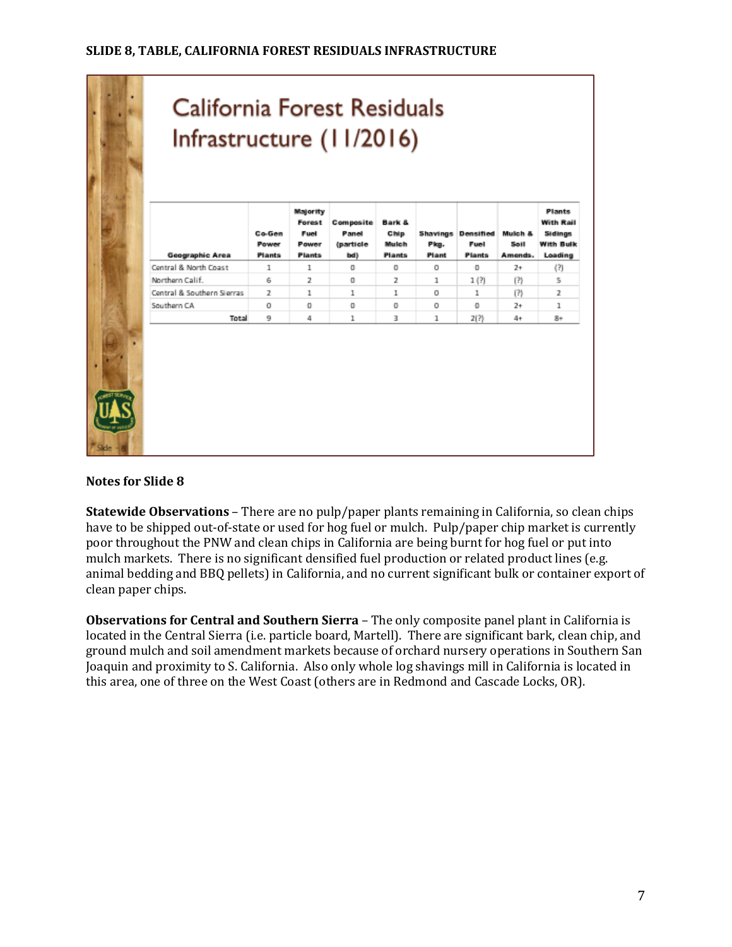|                            | Co-Gen<br>Power<br><b>Plants</b> | Forest<br>Fuel<br>Power<br><b>Plants</b> | Composite<br>Panel<br>(particle | Bark &<br>Chip<br>Mulch<br><b>Plants</b> | <b>Shavings</b><br>Pkg.<br>Plant | Densified<br>Fuel<br><b>Plants</b> | Mulch &<br>Soll<br>Amends. | With Rail<br>Sidings<br>With Bulk<br>Loading |
|----------------------------|----------------------------------|------------------------------------------|---------------------------------|------------------------------------------|----------------------------------|------------------------------------|----------------------------|----------------------------------------------|
| Central & North Coast      | 1                                | 1                                        | o                               | o                                        | O                                | o                                  | $2+$                       | (?)                                          |
| Northern Calif.            | 6                                | $\overline{z}$                           | o                               | $\overline{z}$                           | 1                                | 1(?)                               | (2)                        | 5                                            |
| Central & Southern Sierras | $\mathcal{F}$                    | $\mathbf{1}$                             | 1                               | 1                                        | O                                | 1                                  | (?)                        | 2                                            |
| Southern CA                | O                                | $\Box$                                   | o                               | $\mathbf 0$                              | O                                | o                                  | $2+$                       | 1                                            |
| Total                      | ٩                                | 4                                        | 1                               | 3                                        | 1                                | 2(?)                               | 4+                         | $8+$                                         |
|                            | Geographic Area                  |                                          |                                 | bd)                                      |                                  |                                    |                            |                                              |

**Statewide Observations** – There are no pulp/paper plants remaining in California, so clean chips have to be shipped out-of-state or used for hog fuel or mulch. Pulp/paper chip market is currently poor throughout the PNW and clean chips in California are being burnt for hog fuel or put into mulch markets. There is no significant densified fuel production or related product lines (e.g. animal bedding and BBQ pellets) in California, and no current significant bulk or container export of clean paper chips.

**Observations for Central and Southern Sierra** – The only composite panel plant in California is located in the Central Sierra (i.e. particle board, Martell). There are significant bark, clean chip, and ground mulch and soil amendment markets because of orchard nursery operations in Southern San Joaquin and proximity to S. California. Also only whole log shavings mill in California is located in this area, one of three on the West Coast (others are in Redmond and Cascade Locks, OR).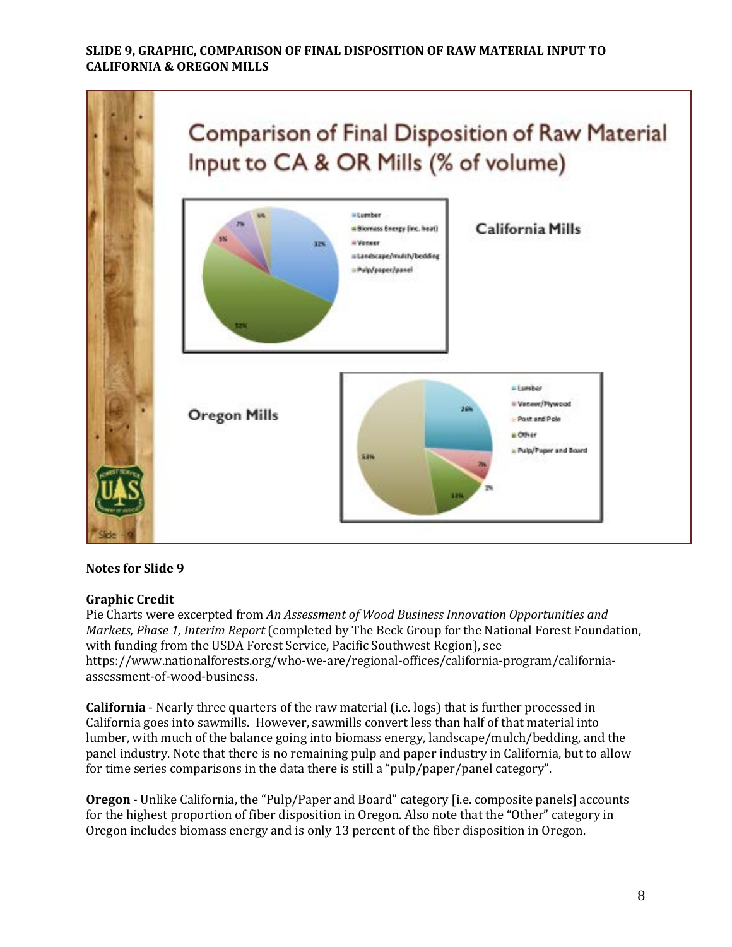#### **SLIDE 9, GRAPHIC, COMPARISON OF FINAL DISPOSITION OF RAW MATERIAL INPUT TO CALIFORNIA & OREGON MILLS**



#### **Notes for Slide 9**

#### **Graphic Credit**

Pie Charts were excerpted from *An Assessment of Wood Business Innovation Opportunities and Markets, Phase 1, Interim Report* (completed by The Beck Group for the National Forest Foundation, with funding from the USDA Forest Service, Pacific Southwest Region), see https://www.nationalforests.org/who-we-are/regional-offices/california-program/californiaassessment-of-wood-business.

**California** - Nearly three quarters of the raw material (i.e. logs) that is further processed in California goes into sawmills. However, sawmills convert less than half of that material into lumber, with much of the balance going into biomass energy, landscape/mulch/bedding, and the panel industry. Note that there is no remaining pulp and paper industry in California, but to allow for time series comparisons in the data there is still a "pulp/paper/panel category".

**Oregon** - Unlike California, the "Pulp/Paper and Board" category [i.e. composite panels] accounts for the highest proportion of fiber disposition in Oregon. Also note that the "Other" category in Oregon includes biomass energy and is only 13 percent of the fiber disposition in Oregon.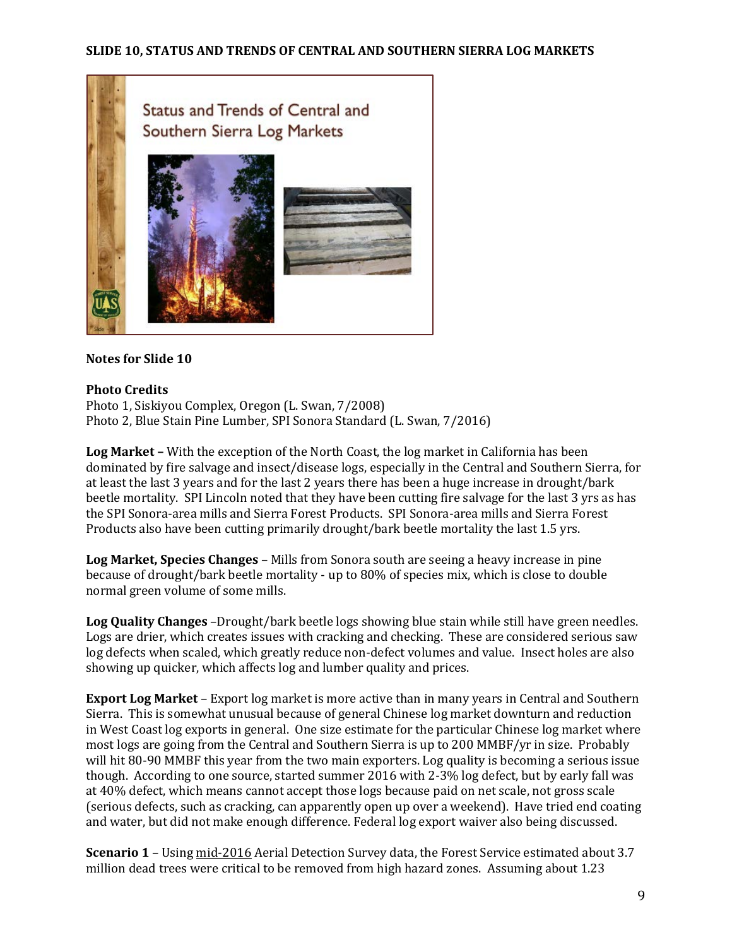

#### **Photo Credits**

Photo 1, Siskiyou Complex, Oregon (L. Swan, 7/2008) Photo 2, Blue Stain Pine Lumber, SPI Sonora Standard (L. Swan, 7/2016)

**Log Market –** With the exception of the North Coast, the log market in California has been dominated by fire salvage and insect/disease logs, especially in the Central and Southern Sierra, for at least the last 3 years and for the last 2 years there has been a huge increase in drought/bark beetle mortality. SPI Lincoln noted that they have been cutting fire salvage for the last 3 yrs as has the SPI Sonora-area mills and Sierra Forest Products. SPI Sonora-area mills and Sierra Forest Products also have been cutting primarily drought/bark beetle mortality the last 1.5 yrs.

**Log Market, Species Changes** – Mills from Sonora south are seeing a heavy increase in pine because of drought/bark beetle mortality - up to 80% of species mix, which is close to double normal green volume of some mills.

**Log Quality Changes** –Drought/bark beetle logs showing blue stain while still have green needles. Logs are drier, which creates issues with cracking and checking. These are considered serious saw log defects when scaled, which greatly reduce non-defect volumes and value. Insect holes are also showing up quicker, which affects log and lumber quality and prices.

**Export Log Market** – Export log market is more active than in many years in Central and Southern Sierra. This is somewhat unusual because of general Chinese log market downturn and reduction in West Coast log exports in general. One size estimate for the particular Chinese log market where most logs are going from the Central and Southern Sierra is up to 200 MMBF/yr in size. Probably will hit 80-90 MMBF this year from the two main exporters. Log quality is becoming a serious issue though. According to one source, started summer 2016 with 2-3% log defect, but by early fall was at 40% defect, which means cannot accept those logs because paid on net scale, not gross scale (serious defects, such as cracking, can apparently open up over a weekend). Have tried end coating and water, but did not make enough difference. Federal log export waiver also being discussed.

**Scenario 1** – Using mid-2016 Aerial Detection Survey data, the Forest Service estimated about 3.7 million dead trees were critical to be removed from high hazard zones. Assuming about 1.23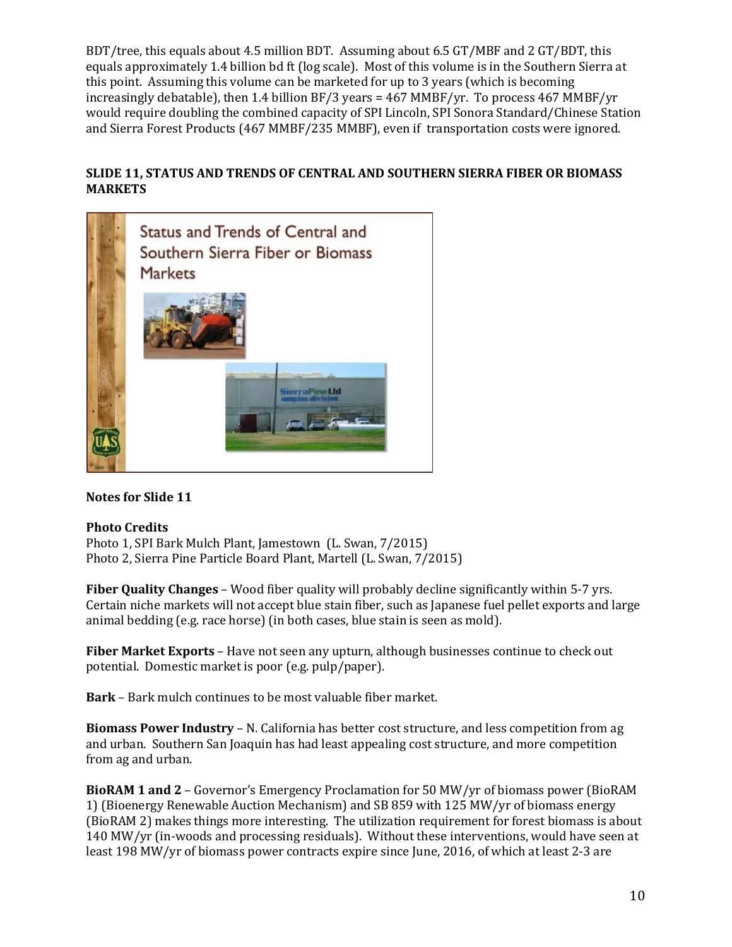BDT/tree, this equals about 4.5 million BDT. Assuming about 6.5 GT/MBF and 2 GT/BDT, this equals approximately 1.4 billion bd ft (log scale). Most of this volume is in the Southern Sierra at this point. Assuming this volume can be marketed for up to 3 years (which is becoming increasingly debatable), then 1.4 billion BF/3 years = 467 MMBF/yr. To process 467 MMBF/yr would require doubling the combined capacity of SPI Lincoln, SPI Sonora Standard/Chinese Station and Sierra Forest Products (467 MMBF/235 MMBF), even if transportation costs were ignored.

## **SLIDE 11, STATUS AND TRENDS OF CENTRAL AND SOUTHERN SIERRA FIBER OR BIOMASS MARKETS**



## **Notes for Slide 11**

## **Photo Credits**

Photo 1, SPI Bark Mulch Plant, Jamestown (L. Swan, 7/2015) Photo 2, Sierra Pine Particle Board Plant, Martell (L. Swan, 7/2015)

**Fiber Quality Changes** – Wood fiber quality will probably decline significantly within 5-7 yrs. Certain niche markets will not accept blue stain fiber, such as Japanese fuel pellet exports and large animal bedding (e.g. race horse) (in both cases, blue stain is seen as mold).

**Fiber Market Exports** – Have not seen any upturn, although businesses continue to check out potential. Domestic market is poor (e.g. pulp/paper).

**Bark** – Bark mulch continues to be most valuable fiber market.

**Biomass Power Industry** – N. California has better cost structure, and less competition from ag and urban. Southern San Joaquin has had least appealing cost structure, and more competition from ag and urban.

**BioRAM 1 and 2** – Governor's Emergency Proclamation for 50 MW/yr of biomass power (BioRAM 1) (Bioenergy Renewable Auction Mechanism) and SB 859 with 125 MW/yr of biomass energy (BioRAM 2) makes things more interesting. The utilization requirement for forest biomass is about 140 MW/yr (in-woods and processing residuals). Without these interventions, would have seen at least 198 MW/yr of biomass power contracts expire since June, 2016, of which at least 2-3 are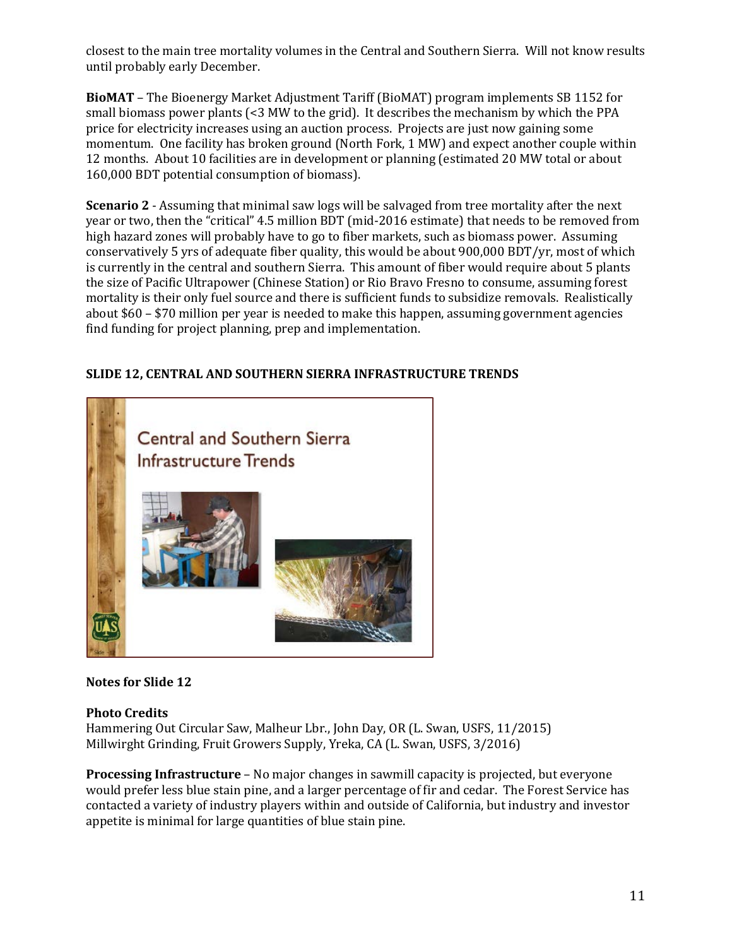closest to the main tree mortality volumes in the Central and Southern Sierra. Will not know results until probably early December.

**BioMAT** – The Bioenergy Market Adjustment Tariff (BioMAT) program implements SB 1152 for small biomass power plants (<3 MW to the grid). It describes the mechanism by which the PPA price for electricity increases using an auction process. Projects are just now gaining some momentum. One facility has broken ground (North Fork, 1 MW) and expect another couple within 12 months. About 10 facilities are in development or planning (estimated 20 MW total or about 160,000 BDT potential consumption of biomass).

**Scenario 2** - Assuming that minimal saw logs will be salvaged from tree mortality after the next year or two, then the "critical" 4.5 million BDT (mid-2016 estimate) that needs to be removed from high hazard zones will probably have to go to fiber markets, such as biomass power. Assuming conservatively 5 yrs of adequate fiber quality, this would be about 900,000 BDT/yr, most of which is currently in the central and southern Sierra. This amount of fiber would require about 5 plants the size of Pacific Ultrapower (Chinese Station) or Rio Bravo Fresno to consume, assuming forest mortality is their only fuel source and there is sufficient funds to subsidize removals. Realistically about \$60 – \$70 million per year is needed to make this happen, assuming government agencies find funding for project planning, prep and implementation.

**SLIDE 12, CENTRAL AND SOUTHERN SIERRA INFRASTRUCTURE TRENDS**





#### **Photo Credits**

Hammering Out Circular Saw, Malheur Lbr., John Day, OR (L. Swan, USFS, 11/2015) Millwirght Grinding, Fruit Growers Supply, Yreka, CA (L. Swan, USFS, 3/2016)

**Processing Infrastructure** – No major changes in sawmill capacity is projected, but everyone would prefer less blue stain pine, and a larger percentage of fir and cedar. The Forest Service has contacted a variety of industry players within and outside of California, but industry and investor appetite is minimal for large quantities of blue stain pine.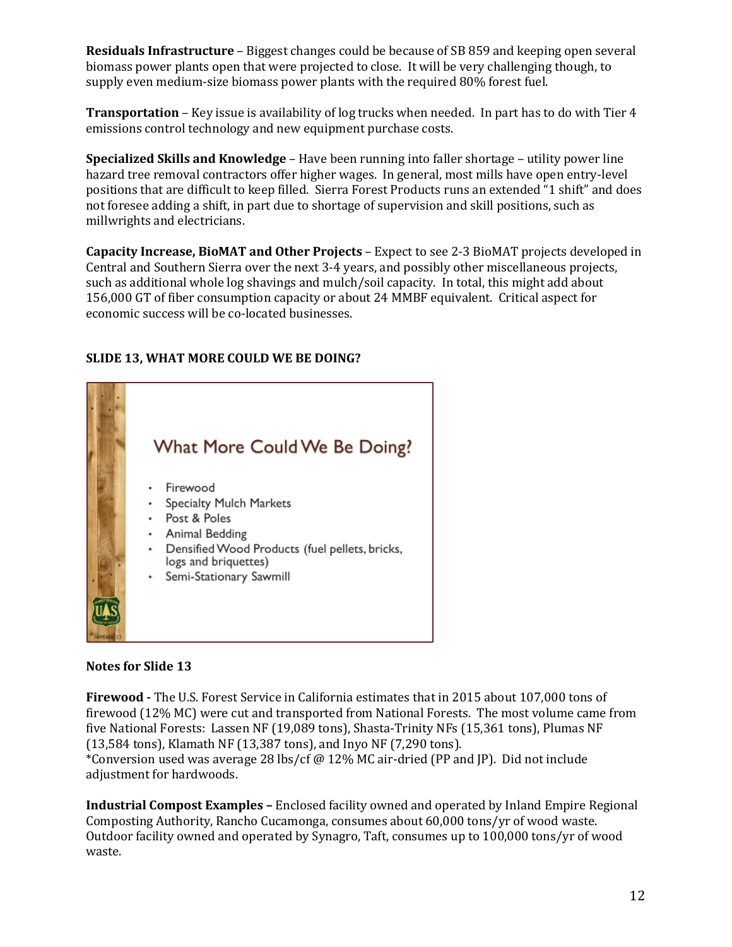**Residuals Infrastructure** – Biggest changes could be because of SB 859 and keeping open several biomass power plants open that were projected to close. It will be very challenging though, to supply even medium-size biomass power plants with the required 80% forest fuel.

**Transportation** – Key issue is availability of log trucks when needed. In part has to do with Tier 4 emissions control technology and new equipment purchase costs.

**Specialized Skills and Knowledge** – Have been running into faller shortage – utility power line hazard tree removal contractors offer higher wages. In general, most mills have open entry-level positions that are difficult to keep filled. Sierra Forest Products runs an extended "1 shift" and does not foresee adding a shift, in part due to shortage of supervision and skill positions, such as millwrights and electricians.

**Capacity Increase, BioMAT and Other Projects** – Expect to see 2-3 BioMAT projects developed in Central and Southern Sierra over the next 3-4 years, and possibly other miscellaneous projects, such as additional whole log shavings and mulch/soil capacity. In total, this might add about 156,000 GT of fiber consumption capacity or about 24 MMBF equivalent. Critical aspect for economic success will be co-located businesses.

## **SLIDE 13, WHAT MORE COULD WE BE DOING?**



#### **Notes for Slide 13**

**Firewood -** The U.S. Forest Service in California estimates that in 2015 about 107,000 tons of firewood (12% MC) were cut and transported from National Forests. The most volume came from five National Forests: Lassen NF (19,089 tons), Shasta-Trinity NFs (15,361 tons), Plumas NF (13,584 tons), Klamath NF (13,387 tons), and Inyo NF (7,290 tons). \*Conversion used was average 28 lbs/cf @ 12% MC air-dried (PP and JP). Did not include adjustment for hardwoods.

**Industrial Compost Examples –** Enclosed facility owned and operated by Inland Empire Regional Composting Authority, Rancho Cucamonga, consumes about 60,000 tons/yr of wood waste. Outdoor facility owned and operated by Synagro, Taft, consumes up to 100,000 tons/yr of wood waste.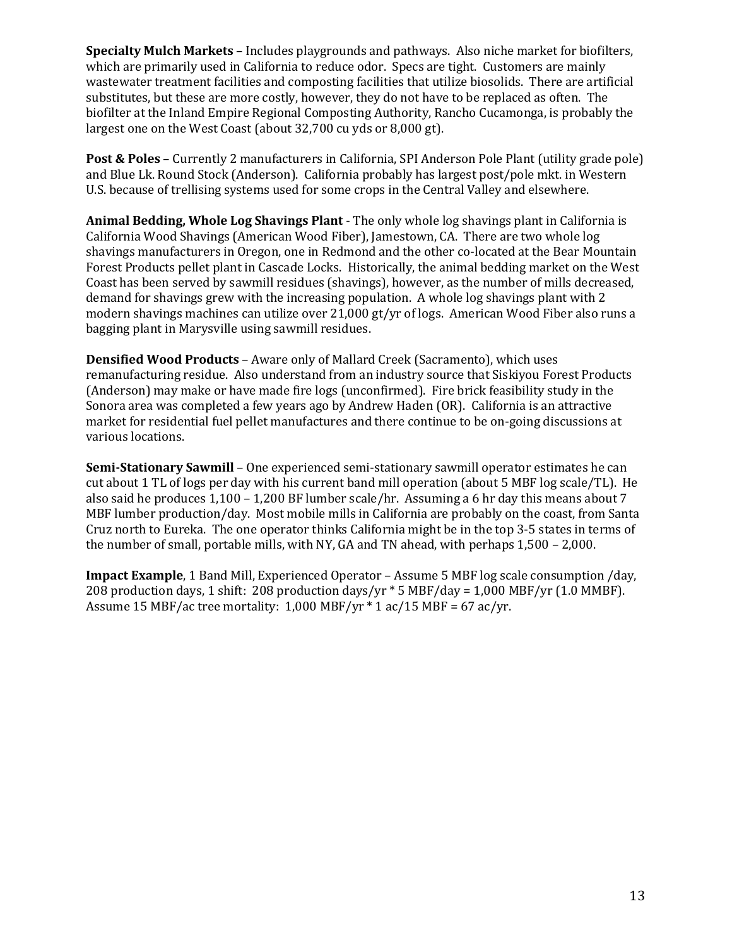**Specialty Mulch Markets** – Includes playgrounds and pathways. Also niche market for biofilters, which are primarily used in California to reduce odor. Specs are tight. Customers are mainly wastewater treatment facilities and composting facilities that utilize biosolids. There are artificial substitutes, but these are more costly, however, they do not have to be replaced as often. The biofilter at the Inland Empire Regional Composting Authority, Rancho Cucamonga, is probably the largest one on the West Coast (about 32,700 cu yds or 8,000 gt).

**Post & Poles** – Currently 2 manufacturers in California, SPI Anderson Pole Plant (utility grade pole) and Blue Lk. Round Stock (Anderson). California probably has largest post/pole mkt. in Western U.S. because of trellising systems used for some crops in the Central Valley and elsewhere.

**Animal Bedding, Whole Log Shavings Plant** - The only whole log shavings plant in California is California Wood Shavings (American Wood Fiber), Jamestown, CA. There are two whole log shavings manufacturers in Oregon, one in Redmond and the other co-located at the Bear Mountain Forest Products pellet plant in Cascade Locks. Historically, the animal bedding market on the West Coast has been served by sawmill residues (shavings), however, as the number of mills decreased, demand for shavings grew with the increasing population. A whole log shavings plant with 2 modern shavings machines can utilize over 21,000 gt/yr of logs. American Wood Fiber also runs a bagging plant in Marysville using sawmill residues.

**Densified Wood Products** – Aware only of Mallard Creek (Sacramento), which uses remanufacturing residue. Also understand from an industry source that Siskiyou Forest Products (Anderson) may make or have made fire logs (unconfirmed). Fire brick feasibility study in the Sonora area was completed a few years ago by Andrew Haden (OR). California is an attractive market for residential fuel pellet manufactures and there continue to be on-going discussions at various locations.

**Semi-Stationary Sawmill** – One experienced semi-stationary sawmill operator estimates he can cut about 1 TL of logs per day with his current band mill operation (about 5 MBF log scale/TL). He also said he produces 1,100 – 1,200 BF lumber scale/hr. Assuming a 6 hr day this means about 7 MBF lumber production/day. Most mobile mills in California are probably on the coast, from Santa Cruz north to Eureka. The one operator thinks California might be in the top 3-5 states in terms of the number of small, portable mills, with NY, GA and TN ahead, with perhaps 1,500 – 2,000.

**Impact Example**, 1 Band Mill, Experienced Operator – Assume 5 MBF log scale consumption /day, 208 production days, 1 shift: 208 production days/yr \* 5 MBF/day = 1,000 MBF/yr (1.0 MMBF). Assume 15 MBF/ac tree mortality:  $1,000$  MBF/yr  $*$  1 ac/15 MBF = 67 ac/yr.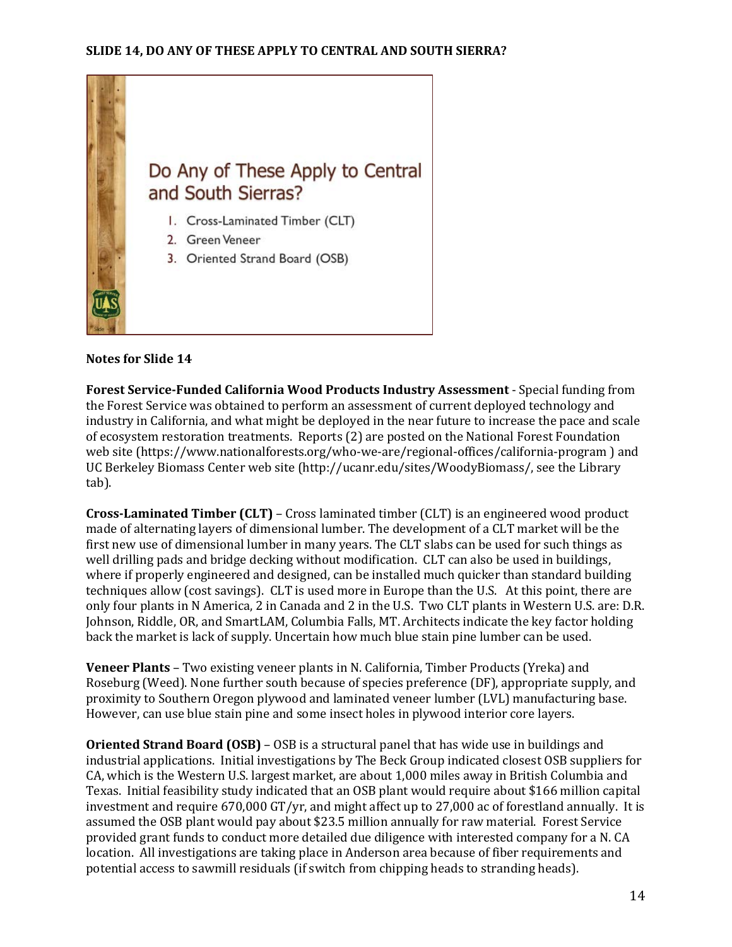

**Forest Service-Funded California Wood Products Industry Assessment** - Special funding from the Forest Service was obtained to perform an assessment of current deployed technology and industry in California, and what might be deployed in the near future to increase the pace and scale of ecosystem restoration treatments. Reports (2) are posted on the National Forest Foundation web site (https://www.nationalforests.org/who-we-are/regional-offices/california-program ) and UC Berkeley Biomass Center web site (http://ucanr.edu/sites/WoodyBiomass/, see the Library tab).

**Cross-Laminated Timber (CLT)** – Cross laminated timber (CLT) is an engineered wood product made of alternating layers of dimensional lumber. The development of a CLT market will be the first new use of dimensional lumber in many years. The CLT slabs can be used for such things as well drilling pads and bridge decking without modification. CLT can also be used in buildings, where if properly engineered and designed, can be installed much quicker than standard building techniques allow (cost savings). CLT is used more in Europe than the U.S. At this point, there are only four plants in N America, 2 in Canada and 2 in the U.S. Two CLT plants in Western U.S. are: D.R. Johnson, Riddle, OR, and SmartLAM, Columbia Falls, MT. Architects indicate the key factor holding back the market is lack of supply. Uncertain how much blue stain pine lumber can be used.

**Veneer Plants** – Two existing veneer plants in N. California, Timber Products (Yreka) and Roseburg (Weed). None further south because of species preference (DF), appropriate supply, and proximity to Southern Oregon plywood and laminated veneer lumber (LVL) manufacturing base. However, can use blue stain pine and some insect holes in plywood interior core layers.

**Oriented Strand Board (OSB)** – OSB is a structural panel that has wide use in buildings and industrial applications. Initial investigations by The Beck Group indicated closest OSB suppliers for CA, which is the Western U.S. largest market, are about 1,000 miles away in British Columbia and Texas. Initial feasibility study indicated that an OSB plant would require about \$166 million capital investment and require 670,000 GT/yr, and might affect up to 27,000 ac of forestland annually. It is assumed the OSB plant would pay about \$23.5 million annually for raw material. Forest Service provided grant funds to conduct more detailed due diligence with interested company for a N. CA location. All investigations are taking place in Anderson area because of fiber requirements and potential access to sawmill residuals (if switch from chipping heads to stranding heads).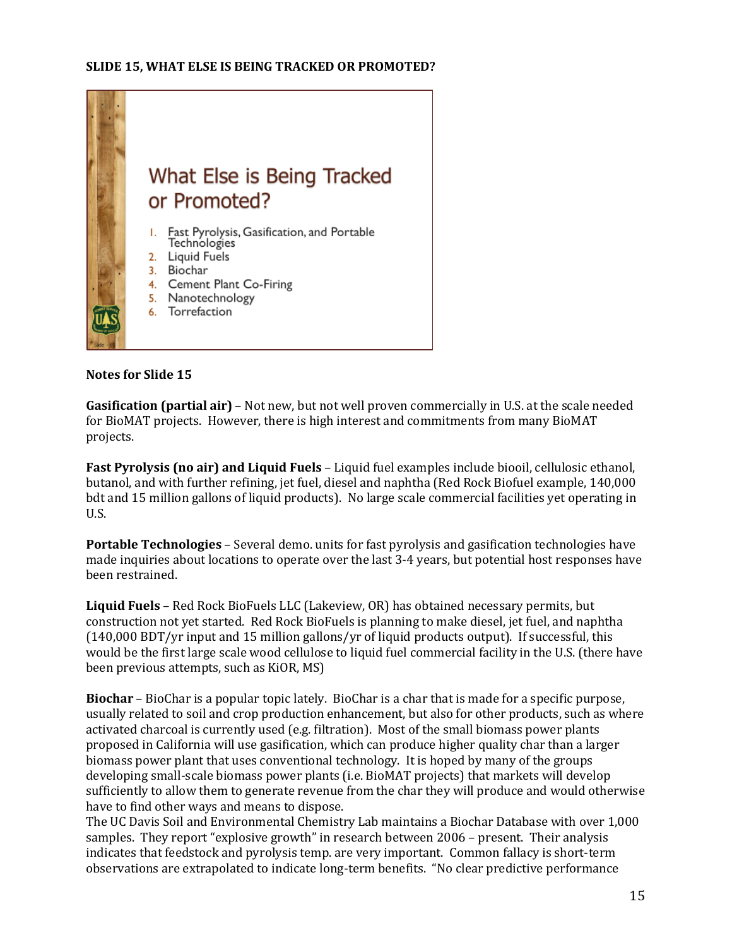

**Gasification (partial air)** – Not new, but not well proven commercially in U.S. at the scale needed for BioMAT projects. However, there is high interest and commitments from many BioMAT projects.

**Fast Pyrolysis (no air) and Liquid Fuels** – Liquid fuel examples include biooil, cellulosic ethanol, butanol, and with further refining, jet fuel, diesel and naphtha (Red Rock Biofuel example, 140,000 bdt and 15 million gallons of liquid products). No large scale commercial facilities yet operating in U.S.

**Portable Technologies** – Several demo. units for fast pyrolysis and gasification technologies have made inquiries about locations to operate over the last 3-4 years, but potential host responses have been restrained.

**Liquid Fuels** – Red Rock BioFuels LLC (Lakeview, OR) has obtained necessary permits, but construction not yet started. Red Rock BioFuels is planning to make diesel, jet fuel, and naphtha (140,000 BDT/yr input and 15 million gallons/yr of liquid products output). If successful, this would be the first large scale wood cellulose to liquid fuel commercial facility in the U.S. (there have been previous attempts, such as KiOR, MS)

**Biochar** – BioChar is a popular topic lately. BioChar is a char that is made for a specific purpose, usually related to soil and crop production enhancement, but also for other products, such as where activated charcoal is currently used (e.g. filtration). Most of the small biomass power plants proposed in California will use gasification, which can produce higher quality char than a larger biomass power plant that uses conventional technology. It is hoped by many of the groups developing small-scale biomass power plants (i.e. BioMAT projects) that markets will develop sufficiently to allow them to generate revenue from the char they will produce and would otherwise have to find other ways and means to dispose.

The UC Davis Soil and Environmental Chemistry Lab maintains a Biochar Database with over 1,000 samples. They report "explosive growth" in research between 2006 – present. Their analysis indicates that feedstock and pyrolysis temp. are very important. Common fallacy is short-term observations are extrapolated to indicate long-term benefits. "No clear predictive performance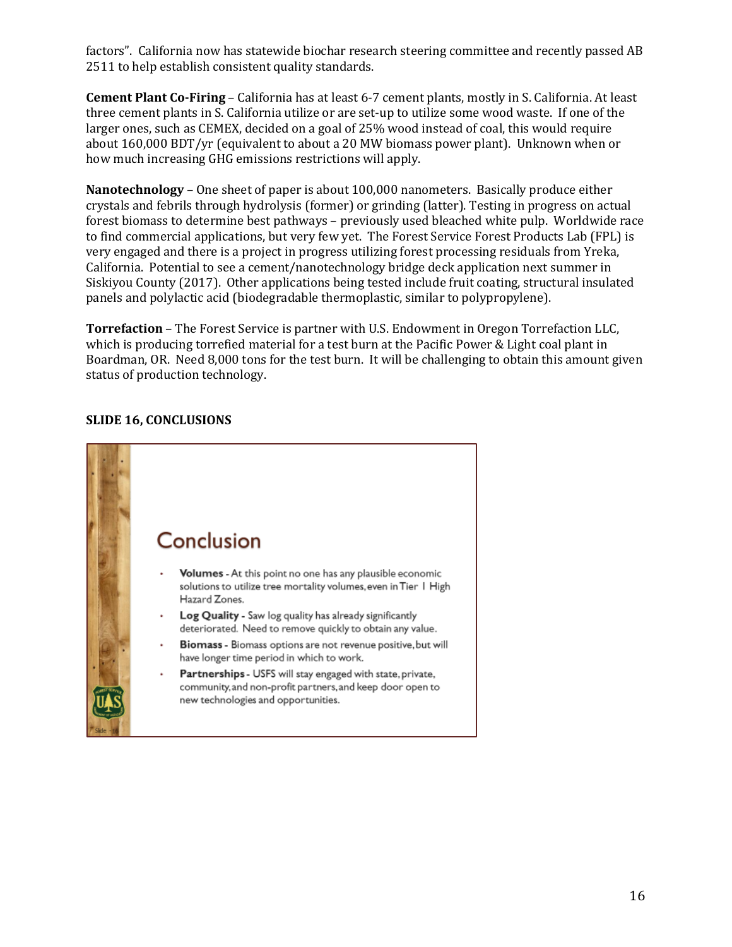factors". California now has statewide biochar research steering committee and recently passed AB 2511 to help establish consistent quality standards.

**Cement Plant Co-Firing** – California has at least 6-7 cement plants, mostly in S. California. At least three cement plants in S. California utilize or are set-up to utilize some wood waste. If one of the larger ones, such as CEMEX, decided on a goal of 25% wood instead of coal, this would require about 160,000 BDT/yr (equivalent to about a 20 MW biomass power plant). Unknown when or how much increasing GHG emissions restrictions will apply.

**Nanotechnology** – One sheet of paper is about 100,000 nanometers. Basically produce either crystals and febrils through hydrolysis (former) or grinding (latter). Testing in progress on actual forest biomass to determine best pathways – previously used bleached white pulp. Worldwide race to find commercial applications, but very few yet. The Forest Service Forest Products Lab (FPL) is very engaged and there is a project in progress utilizing forest processing residuals from Yreka, California. Potential to see a cement/nanotechnology bridge deck application next summer in Siskiyou County (2017). Other applications being tested include fruit coating, structural insulated panels and polylactic acid (biodegradable thermoplastic, similar to polypropylene).

**Torrefaction** – The Forest Service is partner with U.S. Endowment in Oregon Torrefaction LLC, which is producing torrefied material for a test burn at the Pacific Power & Light coal plant in Boardman, OR. Need 8,000 tons for the test burn. It will be challenging to obtain this amount given status of production technology.



## **SLIDE 16, CONCLUSIONS**